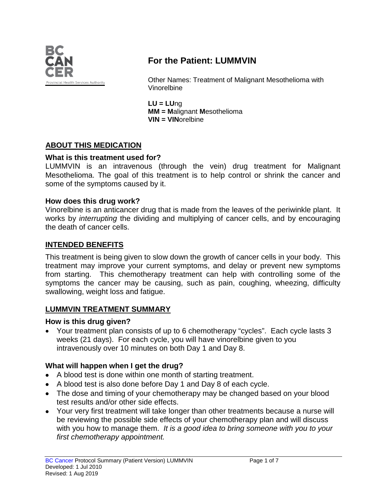

# **For the Patient: LUMMVIN**

Other Names: Treatment of Malignant Mesothelioma with Vinorelbine

**LU = LU**ng **MM = M**alignant **M**esothelioma **VIN = VIN**orelbine

### **ABOUT THIS MEDICATION**

### **What is this treatment used for?**

LUMMVIN is an intravenous (through the vein) drug treatment for Malignant Mesothelioma. The goal of this treatment is to help control or shrink the cancer and some of the symptoms caused by it.

#### **How does this drug work?**

Vinorelbine is an anticancer drug that is made from the leaves of the periwinkle plant. It works by *interrupting* the dividing and multiplying of cancer cells, and by encouraging the death of cancer cells.

#### **INTENDED BENEFITS**

This treatment is being given to slow down the growth of cancer cells in your body. This treatment may improve your current symptoms, and delay or prevent new symptoms from starting. This chemotherapy treatment can help with controlling some of the symptoms the cancer may be causing, such as pain, coughing, wheezing, difficulty swallowing, weight loss and fatigue.

### **LUMMVIN TREATMENT SUMMARY**

### **How is this drug given?**

• Your treatment plan consists of up to 6 chemotherapy "cycles". Each cycle lasts 3 weeks (21 days). For each cycle, you will have vinorelbine given to you intravenously over 10 minutes on both Day 1 and Day 8.

### **What will happen when I get the drug?**

- A blood test is done within one month of starting treatment.
- A blood test is also done before Day 1 and Day 8 of each cycle.
- The dose and timing of your chemotherapy may be changed based on your blood test results and/or other side effects.
- Your very first treatment will take longer than other treatments because a nurse will be reviewing the possible side effects of your chemotherapy plan and will discuss with you how to manage them. *It is a good idea to bring someone with you to your first chemotherapy appointment.*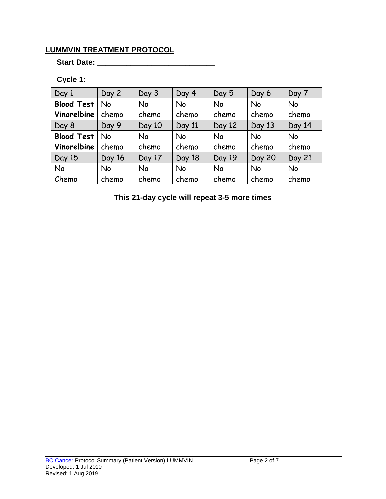## **LUMMVIN TREATMENT PROTOCOL**

**Start Date: \_\_\_\_\_\_\_\_\_\_\_\_\_\_\_\_\_\_\_\_\_\_\_\_\_\_\_\_**

### **Cycle 1:**

| Day 1             | Day 2     | Day 3  | Day 4     | Day 5  | Day 6         | Day 7     |
|-------------------|-----------|--------|-----------|--------|---------------|-----------|
| <b>Blood Test</b> | <b>No</b> | No     | No        | No     | <b>No</b>     | <b>No</b> |
| Vinorelbine       | chemo     | chemo  | chemo     | chemo  | chemo         | chemo     |
| Day 8             | Day 9     | Day 10 | Day 11    | Day 12 | Day 13        | Day 14    |
| <b>Blood Test</b> | No        | No     | <b>No</b> | No     | <b>No</b>     | <b>No</b> |
| Vinorelbine       | chemo     | chemo  | chemo     | chemo  | chemo         | chemo     |
| Day 15            | Day 16    | Day 17 | Day 18    | Day 19 | <b>Day 20</b> | Day 21    |
| No                | <b>No</b> | No     | <b>No</b> | No     | <b>No</b>     | <b>No</b> |
| Chemo             | chemo     | chemo  | chemo     | chemo  | chemo         | chemo     |

**This 21-day cycle will repeat 3-5 more times**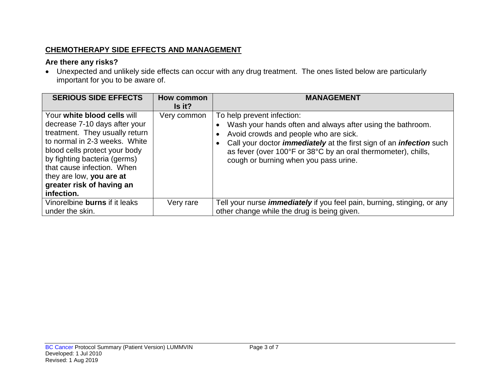## **CHEMOTHERAPY SIDE EFFECTS AND MANAGEMENT**

### **Are there any risks?**

• Unexpected and unlikely side effects can occur with any drug treatment. The ones listed below are particularly important for you to be aware of.

| <b>SERIOUS SIDE EFFECTS</b>                                                                                                                                                                                                                                                                           | <b>How common</b><br>Is it? | <b>MANAGEMENT</b>                                                                                                                                                                                                                                                                                                                |
|-------------------------------------------------------------------------------------------------------------------------------------------------------------------------------------------------------------------------------------------------------------------------------------------------------|-----------------------------|----------------------------------------------------------------------------------------------------------------------------------------------------------------------------------------------------------------------------------------------------------------------------------------------------------------------------------|
| Your white blood cells will<br>decrease 7-10 days after your<br>treatment. They usually return<br>to normal in 2-3 weeks. White<br>blood cells protect your body<br>by fighting bacteria (germs)<br>that cause infection. When<br>they are low, you are at<br>greater risk of having an<br>infection. | Very common                 | To help prevent infection:<br>Wash your hands often and always after using the bathroom.<br>Avoid crowds and people who are sick.<br>Call your doctor <i>immediately</i> at the first sign of an <i>infection</i> such<br>as fever (over 100°F or 38°C by an oral thermometer), chills,<br>cough or burning when you pass urine. |
| Vinorelbine burns if it leaks<br>under the skin.                                                                                                                                                                                                                                                      | Very rare                   | Tell your nurse <i>immediately</i> if you feel pain, burning, stinging, or any<br>other change while the drug is being given.                                                                                                                                                                                                    |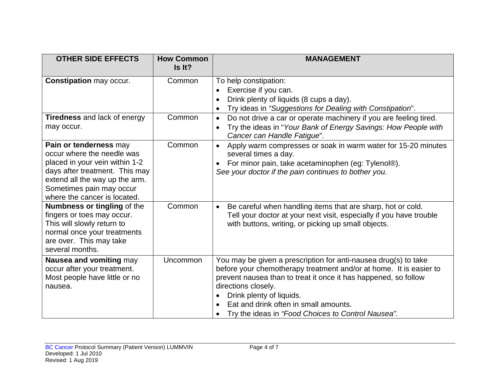| <b>OTHER SIDE EFFECTS</b>                                                                                                                                                                                                                                    | <b>How Common</b><br>Is It? | <b>MANAGEMENT</b>                                                                                                                                                                                                                                                                                                                                                       |
|--------------------------------------------------------------------------------------------------------------------------------------------------------------------------------------------------------------------------------------------------------------|-----------------------------|-------------------------------------------------------------------------------------------------------------------------------------------------------------------------------------------------------------------------------------------------------------------------------------------------------------------------------------------------------------------------|
| <b>Constipation may occur.</b>                                                                                                                                                                                                                               | Common                      | To help constipation:<br>Exercise if you can.<br>$\bullet$<br>Drink plenty of liquids (8 cups a day).<br>Try ideas in "Suggestions for Dealing with Constipation".<br>$\bullet$                                                                                                                                                                                         |
| Tiredness and lack of energy<br>may occur.                                                                                                                                                                                                                   | Common                      | Do not drive a car or operate machinery if you are feeling tired.<br>$\bullet$<br>Try the ideas in "Your Bank of Energy Savings: How People with<br>Cancer can Handle Fatigue".                                                                                                                                                                                         |
| Pain or tenderness may<br>occur where the needle was<br>placed in your vein within 1-2<br>days after treatment. This may<br>extend all the way up the arm.<br>Sometimes pain may occur<br>where the cancer is located.<br><b>Numbness or tingling of the</b> | Common<br>Common            | Apply warm compresses or soak in warm water for 15-20 minutes<br>$\bullet$<br>several times a day.<br>For minor pain, take acetaminophen (eg: Tylenol®).<br>See your doctor if the pain continues to bother you.<br>Be careful when handling items that are sharp, hot or cold.<br>$\bullet$                                                                            |
| fingers or toes may occur.<br>This will slowly return to<br>normal once your treatments<br>are over. This may take<br>several months.                                                                                                                        |                             | Tell your doctor at your next visit, especially if you have trouble<br>with buttons, writing, or picking up small objects.                                                                                                                                                                                                                                              |
| Nausea and vomiting may<br>occur after your treatment.<br>Most people have little or no<br>nausea.                                                                                                                                                           | <b>Uncommon</b>             | You may be given a prescription for anti-nausea drug(s) to take<br>before your chemotherapy treatment and/or at home. It is easier to<br>prevent nausea than to treat it once it has happened, so follow<br>directions closely.<br>Drink plenty of liquids.<br>$\bullet$<br>Eat and drink often in small amounts.<br>Try the ideas in "Food Choices to Control Nausea". |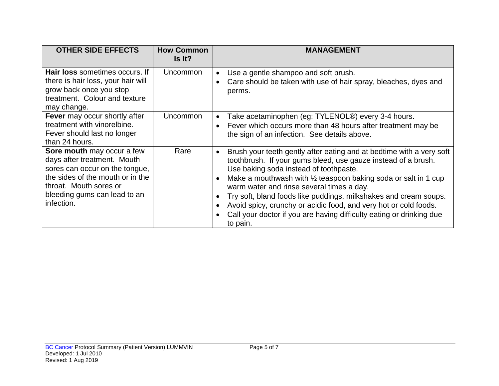| <b>OTHER SIDE EFFECTS</b>                                                                                                                                                                               | <b>How Common</b><br>Is It? | <b>MANAGEMENT</b>                                                                                                                                                                                                                                                                                                                                                                                                                                                                                                                                     |
|---------------------------------------------------------------------------------------------------------------------------------------------------------------------------------------------------------|-----------------------------|-------------------------------------------------------------------------------------------------------------------------------------------------------------------------------------------------------------------------------------------------------------------------------------------------------------------------------------------------------------------------------------------------------------------------------------------------------------------------------------------------------------------------------------------------------|
| Hair loss sometimes occurs. If<br>there is hair loss, your hair will<br>grow back once you stop<br>treatment. Colour and texture<br>may change.                                                         | Uncommon                    | Use a gentle shampoo and soft brush.<br>Care should be taken with use of hair spray, bleaches, dyes and<br>$\bullet$<br>perms.                                                                                                                                                                                                                                                                                                                                                                                                                        |
| Fever may occur shortly after<br>treatment with vinorelbine.<br>Fever should last no longer<br>than 24 hours.                                                                                           | <b>Uncommon</b>             | Take acetaminophen (eg: TYLENOL®) every 3-4 hours.<br>$\bullet$<br>Fever which occurs more than 48 hours after treatment may be<br>the sign of an infection. See details above.                                                                                                                                                                                                                                                                                                                                                                       |
| Sore mouth may occur a few<br>days after treatment. Mouth<br>sores can occur on the tongue,<br>the sides of the mouth or in the<br>throat. Mouth sores or<br>bleeding gums can lead to an<br>infection. | Rare                        | Brush your teeth gently after eating and at bedtime with a very soft<br>$\bullet$<br>toothbrush. If your gums bleed, use gauze instead of a brush.<br>Use baking soda instead of toothpaste.<br>Make a mouthwash with 1/2 teaspoon baking soda or salt in 1 cup<br>$\bullet$<br>warm water and rinse several times a day.<br>Try soft, bland foods like puddings, milkshakes and cream soups.<br>Avoid spicy, crunchy or acidic food, and very hot or cold foods.<br>Call your doctor if you are having difficulty eating or drinking due<br>to pain. |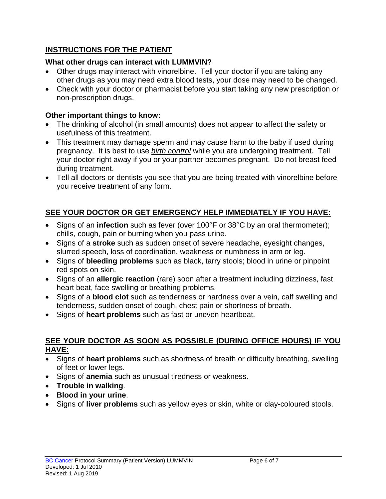### **INSTRUCTIONS FOR THE PATIENT**

### **What other drugs can interact with LUMMVIN?**

- Other drugs may interact with vinorelbine. Tell your doctor if you are taking any other drugs as you may need extra blood tests, your dose may need to be changed.
- Check with your doctor or pharmacist before you start taking any new prescription or non-prescription drugs.

### **Other important things to know:**

- The drinking of alcohol (in small amounts) does not appear to affect the safety or usefulness of this treatment.
- This treatment may damage sperm and may cause harm to the baby if used during pregnancy. It is best to use *birth control* while you are undergoing treatment. Tell your doctor right away if you or your partner becomes pregnant. Do not breast feed during treatment.
- Tell all doctors or dentists you see that you are being treated with vinorelbine before you receive treatment of any form.

# **SEE YOUR DOCTOR OR GET EMERGENCY HELP IMMEDIATELY IF YOU HAVE:**

- Signs of an **infection** such as fever (over 100°F or 38°C by an oral thermometer); chills, cough, pain or burning when you pass urine.
- Signs of a **stroke** such as sudden onset of severe headache, eyesight changes, slurred speech, loss of coordination, weakness or numbness in arm or leg.
- Signs of **bleeding problems** such as black, tarry stools; blood in urine or pinpoint red spots on skin.
- Signs of an **allergic reaction** (rare) soon after a treatment including dizziness, fast heart beat, face swelling or breathing problems.
- Signs of a **blood clot** such as tenderness or hardness over a vein, calf swelling and tenderness, sudden onset of cough, chest pain or shortness of breath.
- Signs of **heart problems** such as fast or uneven heartbeat.

### **SEE YOUR DOCTOR AS SOON AS POSSIBLE (DURING OFFICE HOURS) IF YOU HAVE:**

- Signs of **heart problems** such as shortness of breath or difficulty breathing, swelling of feet or lower legs.
- Signs of **anemia** such as unusual tiredness or weakness.
- **Trouble in walking**.
- **Blood in your urine**.
- Signs of **liver problems** such as yellow eyes or skin, white or clay-coloured stools.